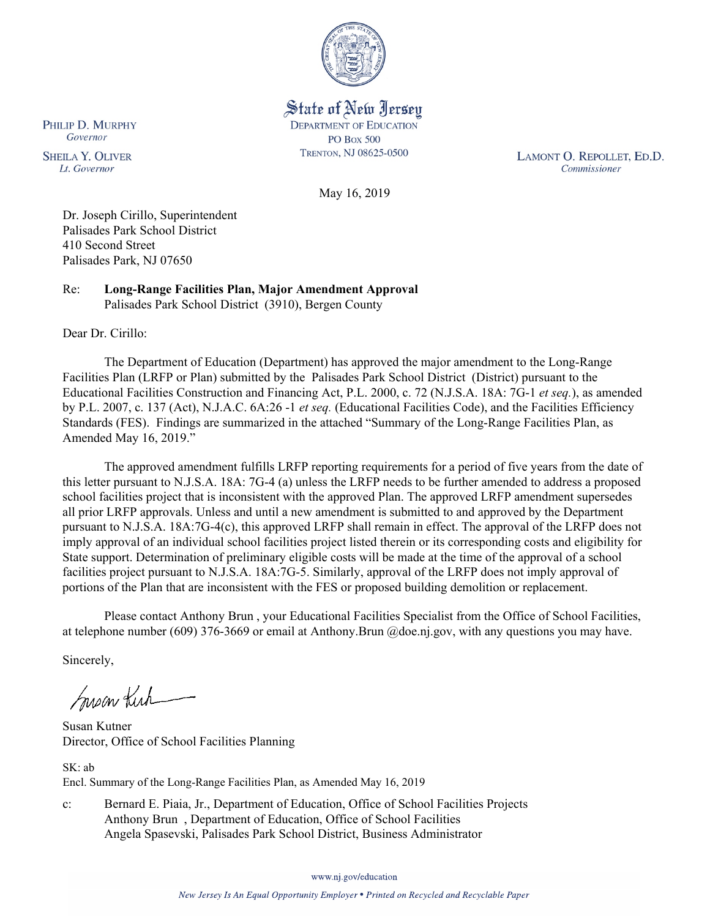

State of New Jersey **DEPARTMENT OF EDUCATION PO Box 500** TRENTON, NJ 08625-0500

LAMONT O. REPOLLET, ED.D. Commissioner

May 16, 2019

Dr. Joseph Cirillo, Superintendent Palisades Park School District 410 Second Street Palisades Park, NJ 07650

Re: **Long-Range Facilities Plan, Major Amendment Approval** Palisades Park School District (3910), Bergen County

Dear Dr. Cirillo:

The Department of Education (Department) has approved the major amendment to the Long-Range Facilities Plan (LRFP or Plan) submitted by the Palisades Park School District (District) pursuant to the Educational Facilities Construction and Financing Act, P.L. 2000, c. 72 (N.J.S.A. 18A: 7G-1 *et seq.*), as amended by P.L. 2007, c. 137 (Act), N.J.A.C. 6A:26 -1 *et seq.* (Educational Facilities Code), and the Facilities Efficiency Standards (FES). Findings are summarized in the attached "Summary of the Long-Range Facilities Plan, as Amended May 16, 2019."

The approved amendment fulfills LRFP reporting requirements for a period of five years from the date of this letter pursuant to N.J.S.A. 18A: 7G-4 (a) unless the LRFP needs to be further amended to address a proposed school facilities project that is inconsistent with the approved Plan. The approved LRFP amendment supersedes all prior LRFP approvals. Unless and until a new amendment is submitted to and approved by the Department pursuant to N.J.S.A. 18A:7G-4(c), this approved LRFP shall remain in effect. The approval of the LRFP does not imply approval of an individual school facilities project listed therein or its corresponding costs and eligibility for State support. Determination of preliminary eligible costs will be made at the time of the approval of a school facilities project pursuant to N.J.S.A. 18A:7G-5. Similarly, approval of the LRFP does not imply approval of portions of the Plan that are inconsistent with the FES or proposed building demolition or replacement.

Please contact Anthony Brun , your Educational Facilities Specialist from the Office of School Facilities, at telephone number (609) 376-3669 or email at Anthony.Brun @doe.nj.gov, with any questions you may have.

Sincerely,

Susan Kirk

Susan Kutner Director, Office of School Facilities Planning

SK: ab Encl. Summary of the Long-Range Facilities Plan, as Amended May 16, 2019

c: Bernard E. Piaia, Jr., Department of Education, Office of School Facilities Projects Anthony Brun , Department of Education, Office of School Facilities Angela Spasevski, Palisades Park School District, Business Administrator

www.nj.gov/education

PHILIP D. MURPHY Governor

**SHEILA Y. OLIVER** Lt. Governor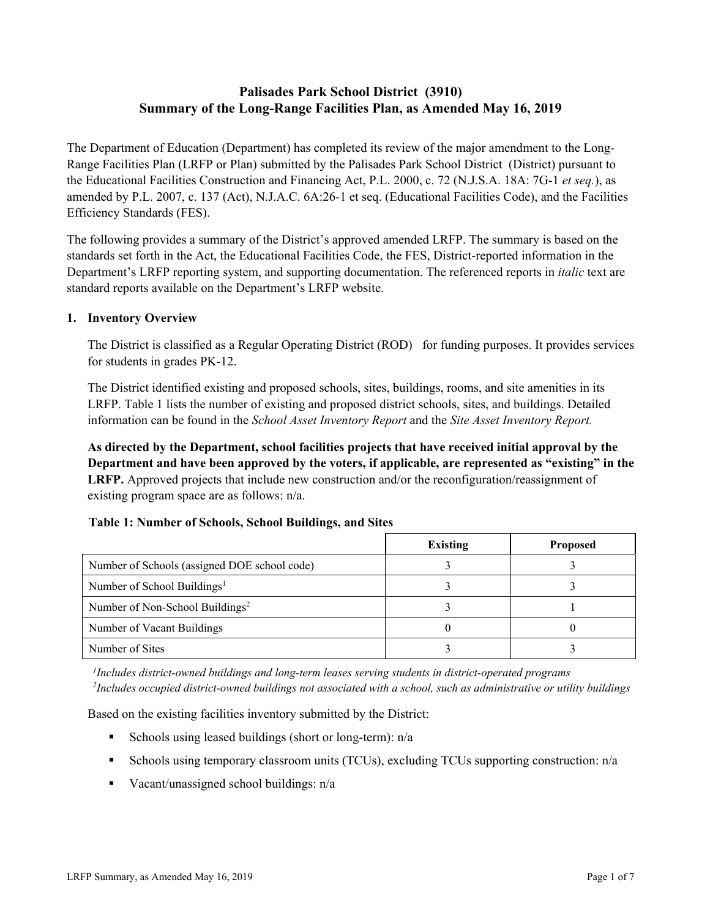# **Palisades Park School District (3910) Summary of the Long-Range Facilities Plan, as Amended May 16, 2019**

The Department of Education (Department) has completed its review of the major amendment to the Long-Range Facilities Plan (LRFP or Plan) submitted by the Palisades Park School District (District) pursuant to the Educational Facilities Construction and Financing Act, P.L. 2000, c. 72 (N.J.S.A. 18A: 7G-1 *et seq.*), as amended by P.L. 2007, c. 137 (Act), N.J.A.C. 6A:26-1 et seq. (Educational Facilities Code), and the Facilities Efficiency Standards (FES).

The following provides a summary of the District's approved amended LRFP. The summary is based on the standards set forth in the Act, the Educational Facilities Code, the FES, District-reported information in the Department's LRFP reporting system, and supporting documentation. The referenced reports in *italic* text are standard reports available on the Department's LRFP website.

### **1. Inventory Overview**

The District is classified as a Regular Operating District (ROD) for funding purposes. It provides services for students in grades PK-12.

The District identified existing and proposed schools, sites, buildings, rooms, and site amenities in its LRFP. Table 1 lists the number of existing and proposed district schools, sites, and buildings. Detailed information can be found in the *School Asset Inventory Report* and the *Site Asset Inventory Report.*

**As directed by the Department, school facilities projects that have received initial approval by the Department and have been approved by the voters, if applicable, are represented as "existing" in the LRFP.** Approved projects that include new construction and/or the reconfiguration/reassignment of existing program space are as follows: n/a.

## **Table 1: Number of Schools, School Buildings, and Sites**

|                                              | <b>Existing</b> | <b>Proposed</b> |
|----------------------------------------------|-----------------|-----------------|
| Number of Schools (assigned DOE school code) |                 |                 |
| Number of School Buildings <sup>1</sup>      |                 |                 |
| Number of Non-School Buildings <sup>2</sup>  |                 |                 |
| Number of Vacant Buildings                   |                 |                 |
| Number of Sites                              |                 |                 |

*1 Includes district-owned buildings and long-term leases serving students in district-operated programs 2 Includes occupied district-owned buildings not associated with a school, such as administrative or utility buildings*

Based on the existing facilities inventory submitted by the District:

- Schools using leased buildings (short or long-term):  $n/a$
- Schools using temporary classroom units (TCUs), excluding TCUs supporting construction: n/a
- Vacant/unassigned school buildings:  $n/a$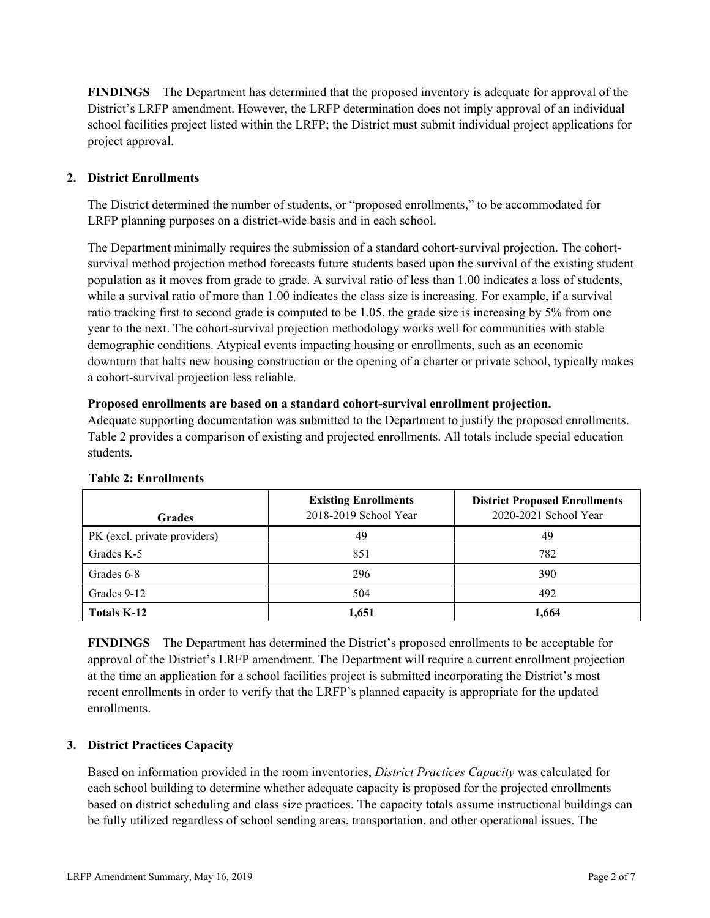**FINDINGS** The Department has determined that the proposed inventory is adequate for approval of the District's LRFP amendment. However, the LRFP determination does not imply approval of an individual school facilities project listed within the LRFP; the District must submit individual project applications for project approval.

## **2. District Enrollments**

The District determined the number of students, or "proposed enrollments," to be accommodated for LRFP planning purposes on a district-wide basis and in each school.

The Department minimally requires the submission of a standard cohort-survival projection. The cohortsurvival method projection method forecasts future students based upon the survival of the existing student population as it moves from grade to grade. A survival ratio of less than 1.00 indicates a loss of students, while a survival ratio of more than 1.00 indicates the class size is increasing. For example, if a survival ratio tracking first to second grade is computed to be 1.05, the grade size is increasing by 5% from one year to the next. The cohort-survival projection methodology works well for communities with stable demographic conditions. Atypical events impacting housing or enrollments, such as an economic downturn that halts new housing construction or the opening of a charter or private school, typically makes a cohort-survival projection less reliable.

#### **Proposed enrollments are based on a standard cohort-survival enrollment projection.**

Adequate supporting documentation was submitted to the Department to justify the proposed enrollments. Table 2 provides a comparison of existing and projected enrollments. All totals include special education students.

| <b>Grades</b>                | <b>Existing Enrollments</b><br>2018-2019 School Year | <b>District Proposed Enrollments</b><br>2020-2021 School Year |
|------------------------------|------------------------------------------------------|---------------------------------------------------------------|
| PK (excl. private providers) | 49                                                   | 49                                                            |
| Grades K-5                   | 851                                                  | 782                                                           |
| Grades 6-8                   | 296                                                  | 390                                                           |
| Grades 9-12                  | 504                                                  | 492                                                           |
| Totals K-12                  | 1,651                                                | 1,664                                                         |

#### **Table 2: Enrollments**

**FINDINGS** The Department has determined the District's proposed enrollments to be acceptable for approval of the District's LRFP amendment. The Department will require a current enrollment projection at the time an application for a school facilities project is submitted incorporating the District's most recent enrollments in order to verify that the LRFP's planned capacity is appropriate for the updated enrollments.

## **3. District Practices Capacity**

Based on information provided in the room inventories, *District Practices Capacity* was calculated for each school building to determine whether adequate capacity is proposed for the projected enrollments based on district scheduling and class size practices. The capacity totals assume instructional buildings can be fully utilized regardless of school sending areas, transportation, and other operational issues. The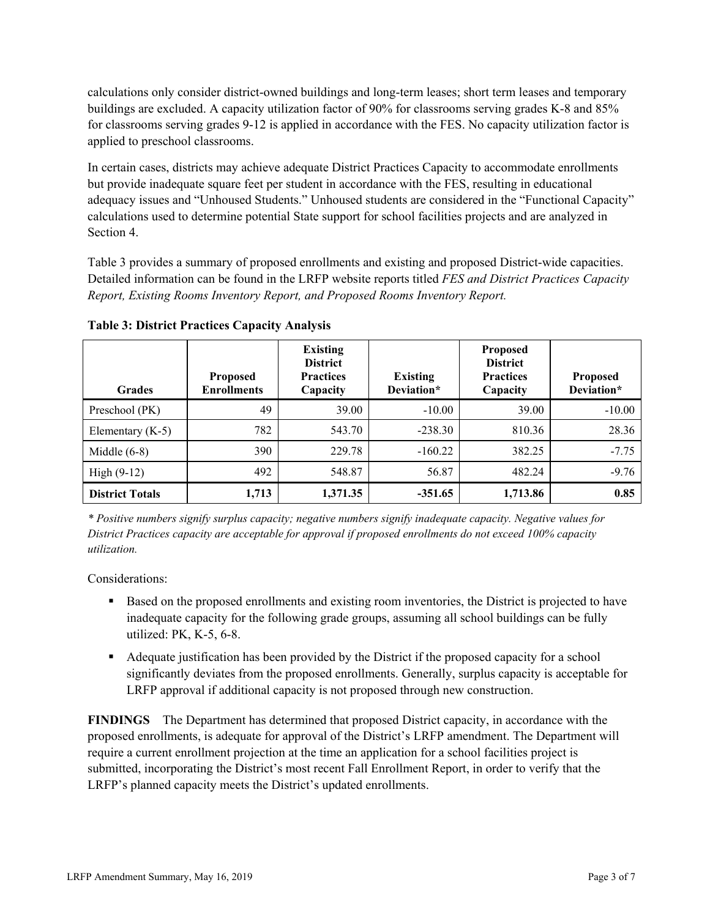calculations only consider district-owned buildings and long-term leases; short term leases and temporary buildings are excluded. A capacity utilization factor of 90% for classrooms serving grades K-8 and 85% for classrooms serving grades 9-12 is applied in accordance with the FES. No capacity utilization factor is applied to preschool classrooms.

In certain cases, districts may achieve adequate District Practices Capacity to accommodate enrollments but provide inadequate square feet per student in accordance with the FES, resulting in educational adequacy issues and "Unhoused Students." Unhoused students are considered in the "Functional Capacity" calculations used to determine potential State support for school facilities projects and are analyzed in Section 4.

Table 3 provides a summary of proposed enrollments and existing and proposed District-wide capacities. Detailed information can be found in the LRFP website reports titled *FES and District Practices Capacity Report, Existing Rooms Inventory Report, and Proposed Rooms Inventory Report.*

| <b>Grades</b>          | <b>Proposed</b><br><b>Enrollments</b> | <b>Existing</b><br><b>District</b><br><b>Practices</b><br>Capacity | <b>Existing</b><br>Deviation* | <b>Proposed</b><br><b>District</b><br><b>Practices</b><br>Capacity | <b>Proposed</b><br>Deviation* |
|------------------------|---------------------------------------|--------------------------------------------------------------------|-------------------------------|--------------------------------------------------------------------|-------------------------------|
| Preschool (PK)         | 49                                    | 39.00                                                              | $-10.00$                      | 39.00                                                              | $-10.00$                      |
| Elementary $(K-5)$     | 782                                   | 543.70                                                             | $-238.30$                     | 810.36                                                             | 28.36                         |
| Middle $(6-8)$         | 390                                   | 229.78                                                             | $-160.22$                     | 382.25                                                             | $-7.75$                       |
| $High (9-12)$          | 492                                   | 548.87                                                             | 56.87                         | 482.24                                                             | $-9.76$                       |
| <b>District Totals</b> | 1,713                                 | 1,371.35                                                           | $-351.65$                     | 1,713.86                                                           | 0.85                          |

**Table 3: District Practices Capacity Analysis**

*\* Positive numbers signify surplus capacity; negative numbers signify inadequate capacity. Negative values for District Practices capacity are acceptable for approval if proposed enrollments do not exceed 100% capacity utilization.*

Considerations:

- Based on the proposed enrollments and existing room inventories, the District is projected to have inadequate capacity for the following grade groups, assuming all school buildings can be fully utilized: PK, K-5, 6-8.
- Adequate justification has been provided by the District if the proposed capacity for a school significantly deviates from the proposed enrollments. Generally, surplus capacity is acceptable for LRFP approval if additional capacity is not proposed through new construction.

**FINDINGS**The Department has determined that proposed District capacity, in accordance with the proposed enrollments, is adequate for approval of the District's LRFP amendment. The Department will require a current enrollment projection at the time an application for a school facilities project is submitted, incorporating the District's most recent Fall Enrollment Report, in order to verify that the LRFP's planned capacity meets the District's updated enrollments.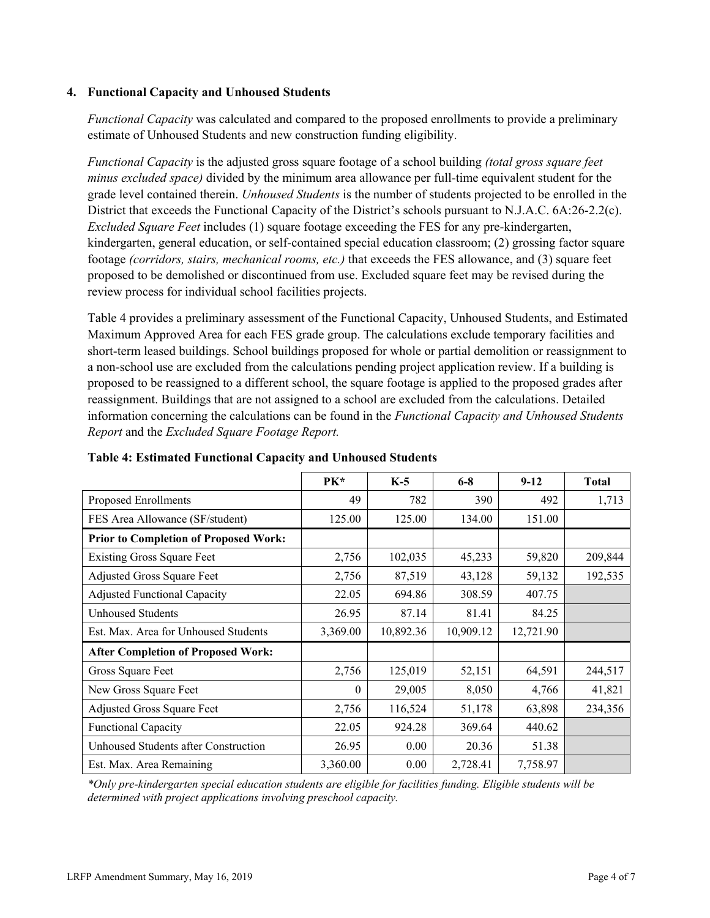### **4. Functional Capacity and Unhoused Students**

*Functional Capacity* was calculated and compared to the proposed enrollments to provide a preliminary estimate of Unhoused Students and new construction funding eligibility.

*Functional Capacity* is the adjusted gross square footage of a school building *(total gross square feet minus excluded space)* divided by the minimum area allowance per full-time equivalent student for the grade level contained therein. *Unhoused Students* is the number of students projected to be enrolled in the District that exceeds the Functional Capacity of the District's schools pursuant to N.J.A.C. 6A:26-2.2(c). *Excluded Square Feet* includes (1) square footage exceeding the FES for any pre-kindergarten, kindergarten, general education, or self-contained special education classroom; (2) grossing factor square footage *(corridors, stairs, mechanical rooms, etc.)* that exceeds the FES allowance, and (3) square feet proposed to be demolished or discontinued from use. Excluded square feet may be revised during the review process for individual school facilities projects.

Table 4 provides a preliminary assessment of the Functional Capacity, Unhoused Students, and Estimated Maximum Approved Area for each FES grade group. The calculations exclude temporary facilities and short-term leased buildings. School buildings proposed for whole or partial demolition or reassignment to a non-school use are excluded from the calculations pending project application review. If a building is proposed to be reassigned to a different school, the square footage is applied to the proposed grades after reassignment. Buildings that are not assigned to a school are excluded from the calculations. Detailed information concerning the calculations can be found in the *Functional Capacity and Unhoused Students Report* and the *Excluded Square Footage Report.*

|                                              | PK*      | $K-5$     | $6 - 8$   | $9-12$    | <b>Total</b> |
|----------------------------------------------|----------|-----------|-----------|-----------|--------------|
| Proposed Enrollments                         | 49       | 782       | 390       | 492       | 1,713        |
| FES Area Allowance (SF/student)              | 125.00   | 125.00    | 134.00    | 151.00    |              |
| <b>Prior to Completion of Proposed Work:</b> |          |           |           |           |              |
| <b>Existing Gross Square Feet</b>            | 2,756    | 102,035   | 45,233    | 59,820    | 209,844      |
| Adjusted Gross Square Feet                   | 2,756    | 87,519    | 43,128    | 59,132    | 192,535      |
| <b>Adjusted Functional Capacity</b>          | 22.05    | 694.86    | 308.59    | 407.75    |              |
| <b>Unhoused Students</b>                     | 26.95    | 87.14     | 81.41     | 84.25     |              |
| Est. Max. Area for Unhoused Students         | 3,369.00 | 10,892.36 | 10,909.12 | 12,721.90 |              |
| <b>After Completion of Proposed Work:</b>    |          |           |           |           |              |
| Gross Square Feet                            | 2,756    | 125,019   | 52,151    | 64,591    | 244,517      |
| New Gross Square Feet                        | $\theta$ | 29,005    | 8,050     | 4,766     | 41,821       |
| Adjusted Gross Square Feet                   | 2,756    | 116,524   | 51,178    | 63,898    | 234,356      |
| <b>Functional Capacity</b>                   | 22.05    | 924.28    | 369.64    | 440.62    |              |
| Unhoused Students after Construction         | 26.95    | 0.00      | 20.36     | 51.38     |              |
| Est. Max. Area Remaining                     | 3,360.00 | 0.00      | 2,728.41  | 7,758.97  |              |

#### **Table 4: Estimated Functional Capacity and Unhoused Students**

*\*Only pre-kindergarten special education students are eligible for facilities funding. Eligible students will be determined with project applications involving preschool capacity.*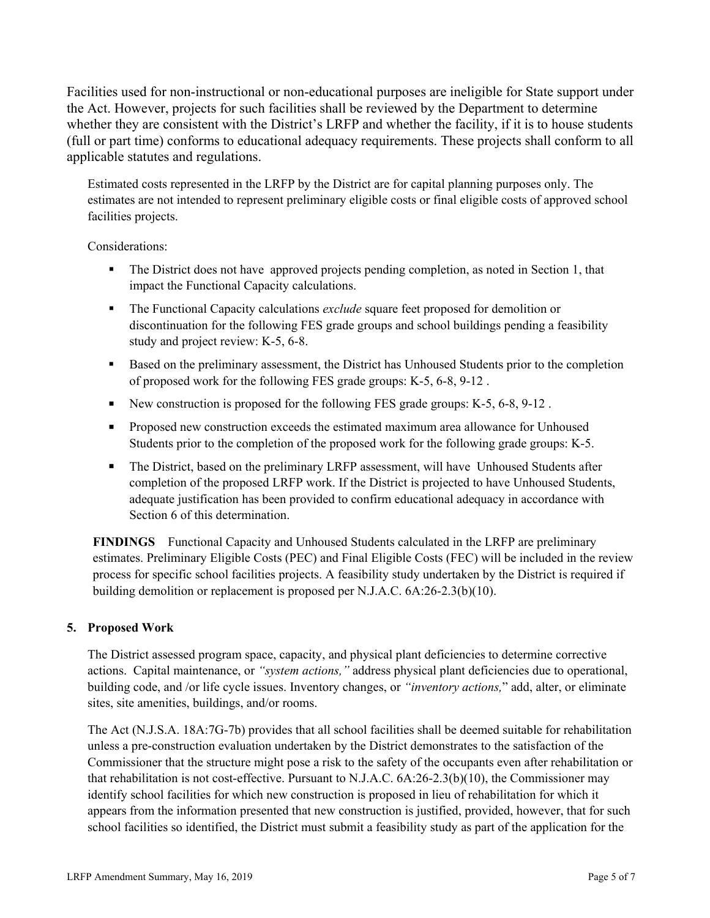Facilities used for non-instructional or non-educational purposes are ineligible for State support under the Act. However, projects for such facilities shall be reviewed by the Department to determine whether they are consistent with the District's LRFP and whether the facility, if it is to house students (full or part time) conforms to educational adequacy requirements. These projects shall conform to all applicable statutes and regulations.

Estimated costs represented in the LRFP by the District are for capital planning purposes only. The estimates are not intended to represent preliminary eligible costs or final eligible costs of approved school facilities projects.

Considerations:

- The District does not have approved projects pending completion, as noted in Section 1, that impact the Functional Capacity calculations.
- The Functional Capacity calculations *exclude* square feet proposed for demolition or discontinuation for the following FES grade groups and school buildings pending a feasibility study and project review: K-5, 6-8.
- Based on the preliminary assessment, the District has Unhoused Students prior to the completion of proposed work for the following FES grade groups: K-5, 6-8, 9-12 .
- New construction is proposed for the following FES grade groups:  $K-5$ , 6-8, 9-12.
- **Proposed new construction exceeds the estimated maximum area allowance for Unhoused** Students prior to the completion of the proposed work for the following grade groups: K-5.
- The District, based on the preliminary LRFP assessment, will have Unhoused Students after completion of the proposed LRFP work. If the District is projected to have Unhoused Students, adequate justification has been provided to confirm educational adequacy in accordance with Section 6 of this determination.

**FINDINGS** Functional Capacity and Unhoused Students calculated in the LRFP are preliminary estimates. Preliminary Eligible Costs (PEC) and Final Eligible Costs (FEC) will be included in the review process for specific school facilities projects. A feasibility study undertaken by the District is required if building demolition or replacement is proposed per N.J.A.C. 6A:26-2.3(b)(10).

## **5. Proposed Work**

The District assessed program space, capacity, and physical plant deficiencies to determine corrective actions. Capital maintenance, or *"system actions,"* address physical plant deficiencies due to operational, building code, and /or life cycle issues. Inventory changes, or *"inventory actions,*" add, alter, or eliminate sites, site amenities, buildings, and/or rooms.

The Act (N.J.S.A. 18A:7G-7b) provides that all school facilities shall be deemed suitable for rehabilitation unless a pre-construction evaluation undertaken by the District demonstrates to the satisfaction of the Commissioner that the structure might pose a risk to the safety of the occupants even after rehabilitation or that rehabilitation is not cost-effective. Pursuant to N.J.A.C. 6A:26-2.3(b)(10), the Commissioner may identify school facilities for which new construction is proposed in lieu of rehabilitation for which it appears from the information presented that new construction is justified, provided, however, that for such school facilities so identified, the District must submit a feasibility study as part of the application for the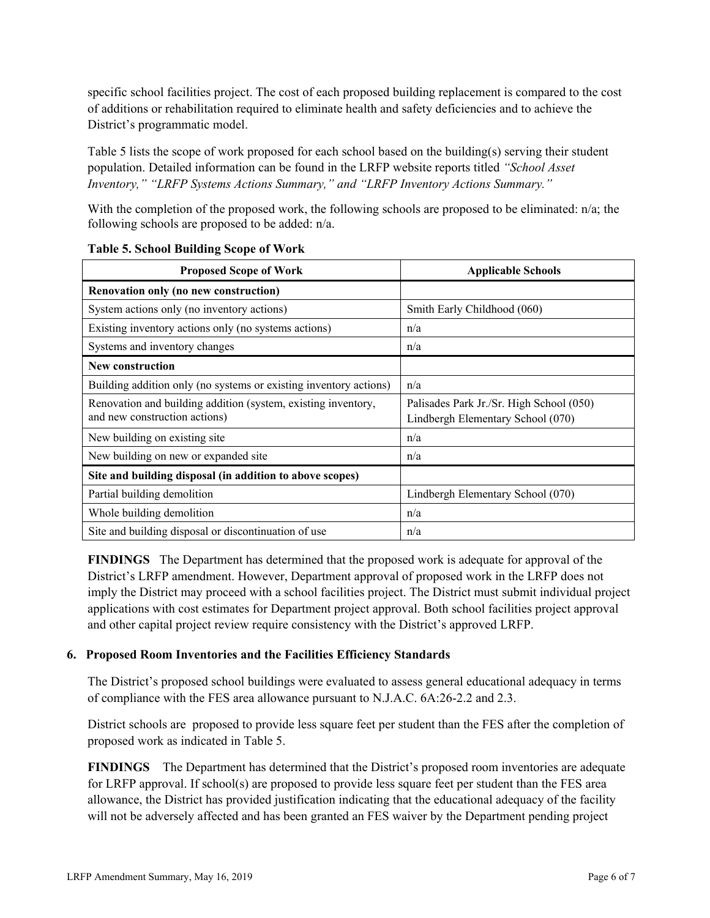specific school facilities project. The cost of each proposed building replacement is compared to the cost of additions or rehabilitation required to eliminate health and safety deficiencies and to achieve the District's programmatic model.

Table 5 lists the scope of work proposed for each school based on the building(s) serving their student population. Detailed information can be found in the LRFP website reports titled *"School Asset Inventory," "LRFP Systems Actions Summary," and "LRFP Inventory Actions Summary."*

With the completion of the proposed work, the following schools are proposed to be eliminated: n/a; the following schools are proposed to be added: n/a.

| <b>Proposed Scope of Work</b>                                                                  | <b>Applicable Schools</b>                                                     |
|------------------------------------------------------------------------------------------------|-------------------------------------------------------------------------------|
| Renovation only (no new construction)                                                          |                                                                               |
| System actions only (no inventory actions)                                                     | Smith Early Childhood (060)                                                   |
| Existing inventory actions only (no systems actions)                                           | n/a                                                                           |
| Systems and inventory changes                                                                  | n/a                                                                           |
| <b>New construction</b>                                                                        |                                                                               |
| Building addition only (no systems or existing inventory actions)                              | n/a                                                                           |
| Renovation and building addition (system, existing inventory,<br>and new construction actions) | Palisades Park Jr./Sr. High School (050)<br>Lindbergh Elementary School (070) |
| New building on existing site.                                                                 | n/a                                                                           |
| New building on new or expanded site                                                           | n/a                                                                           |
| Site and building disposal (in addition to above scopes)                                       |                                                                               |
| Partial building demolition                                                                    | Lindbergh Elementary School (070)                                             |
| Whole building demolition                                                                      | n/a                                                                           |
| Site and building disposal or discontinuation of use                                           | n/a                                                                           |

#### **Table 5. School Building Scope of Work**

**FINDINGS** The Department has determined that the proposed work is adequate for approval of the District's LRFP amendment. However, Department approval of proposed work in the LRFP does not imply the District may proceed with a school facilities project. The District must submit individual project applications with cost estimates for Department project approval. Both school facilities project approval and other capital project review require consistency with the District's approved LRFP.

#### **6. Proposed Room Inventories and the Facilities Efficiency Standards**

The District's proposed school buildings were evaluated to assess general educational adequacy in terms of compliance with the FES area allowance pursuant to N.J.A.C. 6A:26-2.2 and 2.3.

District schools are proposed to provide less square feet per student than the FES after the completion of proposed work as indicated in Table 5.

**FINDINGS** The Department has determined that the District's proposed room inventories are adequate for LRFP approval. If school(s) are proposed to provide less square feet per student than the FES area allowance, the District has provided justification indicating that the educational adequacy of the facility will not be adversely affected and has been granted an FES waiver by the Department pending project